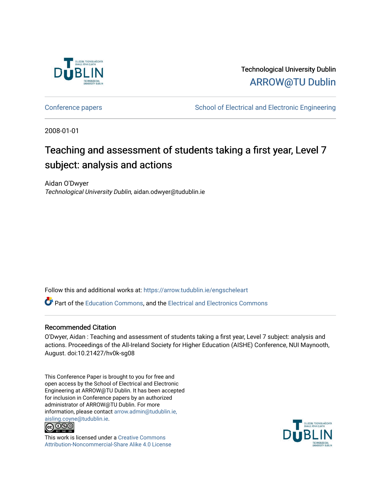

Technological University Dublin [ARROW@TU Dublin](https://arrow.tudublin.ie/) 

[Conference papers](https://arrow.tudublin.ie/engscheleart) **School of Electrical and Electronic Engineering** 

2008-01-01

# Teaching and assessment of students taking a first year, Level 7 subject: analysis and actions

Aidan O'Dwyer Technological University Dublin, aidan.odwyer@tudublin.ie

Follow this and additional works at: [https://arrow.tudublin.ie/engscheleart](https://arrow.tudublin.ie/engscheleart?utm_source=arrow.tudublin.ie%2Fengscheleart%2F11&utm_medium=PDF&utm_campaign=PDFCoverPages) 

**C** Part of the [Education Commons](http://network.bepress.com/hgg/discipline/784?utm_source=arrow.tudublin.ie%2Fengscheleart%2F11&utm_medium=PDF&utm_campaign=PDFCoverPages), and the [Electrical and Electronics Commons](http://network.bepress.com/hgg/discipline/270?utm_source=arrow.tudublin.ie%2Fengscheleart%2F11&utm_medium=PDF&utm_campaign=PDFCoverPages)

#### Recommended Citation

O'Dwyer, Aidan : Teaching and assessment of students taking a first year, Level 7 subject: analysis and actions. Proceedings of the All-Ireland Society for Higher Education (AISHE) Conference, NUI Maynooth, August. doi:10.21427/hv0k-sg08

This Conference Paper is brought to you for free and open access by the School of Electrical and Electronic Engineering at ARROW@TU Dublin. It has been accepted for inclusion in Conference papers by an authorized administrator of ARROW@TU Dublin. For more information, please contact [arrow.admin@tudublin.ie,](mailto:arrow.admin@tudublin.ie,%20aisling.coyne@tudublin.ie)  [aisling.coyne@tudublin.ie.](mailto:arrow.admin@tudublin.ie,%20aisling.coyne@tudublin.ie)<br>© 090



This work is licensed under a [Creative Commons](http://creativecommons.org/licenses/by-nc-sa/4.0/) [Attribution-Noncommercial-Share Alike 4.0 License](http://creativecommons.org/licenses/by-nc-sa/4.0/)

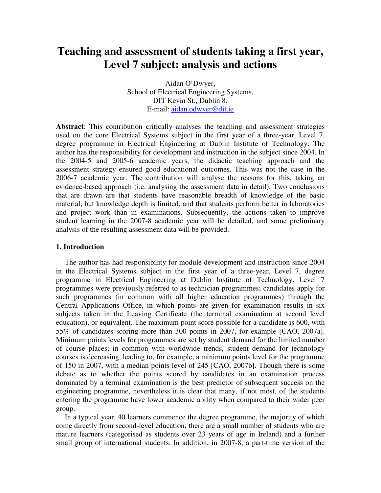# **Teaching and assessment of students taking a first year, Level 7 subject: analysis and actions**

Aidan O'Dwyer, School of Electrical Engineering Systems, DIT Kevin St., Dublin 8. E-mail: aidan.odwyer@dit.ie

**Abstract**: This contribution critically analyses the teaching and assessment strategies used on the core Electrical Systems subject in the first year of a three-year, Level 7, degree programme in Electrical Engineering at Dublin Institute of Technology. The author has the responsibility for development and instruction in the subject since 2004. In the 2004-5 and 2005-6 academic years, the didactic teaching approach and the assessment strategy ensured good educational outcomes. This was not the case in the 2006-7 academic year. The contribution will analyse the reasons for this, taking an evidence-based approach (i.e. analysing the assessment data in detail). Two conclusions that are drawn are that students have reasonable breadth of knowledge of the basic material, but knowledge depth is limited, and that students perform better in laboratories and project work than in examinations. Subsequently, the actions taken to improve student learning in the 2007-8 academic year will be detailed, and some preliminary analysis of the resulting assessment data will be provided.

#### **1. Introduction**

The author has had responsibility for module development and instruction since 2004 in the Electrical Systems subject in the first year of a three-year, Level 7, degree programme in Electrical Engineering at Dublin Institute of Technology. Level 7 programmes were previously referred to as technician programmes; candidates apply for such programmes (in common with all higher education programmes) through the Central Applications Office, in which points are given for examination results in six subjects taken in the Leaving Certificate (the terminal examination at second level education), or equivalent. The maximum point score possible for a candidate is 600, with 55% of candidates scoring more than 300 points in 2007, for example [CAO, 2007a]. Minimum points levels for programmes are set by student demand for the limited number of course places; in common with worldwide trends, student demand for technology courses is decreasing, leading to, for example, a minimum points level for the programme of 150 in 2007, with a median points level of 245 [CAO, 2007b]. Though there is some debate as to whether the points scored by candidates in an examination process dominated by a terminal examination is the best predictor of subsequent success on the engineering programme, nevertheless it is clear that many, if not most, of the students entering the programme have lower academic ability when compared to their wider peer group.

In a typical year, 40 learners commence the degree programme, the majority of which come directly from second-level education; there are a small number of students who are mature learners (categorised as students over 23 years of age in Ireland) and a further small group of international students. In addition, in 2007-8, a part-time version of the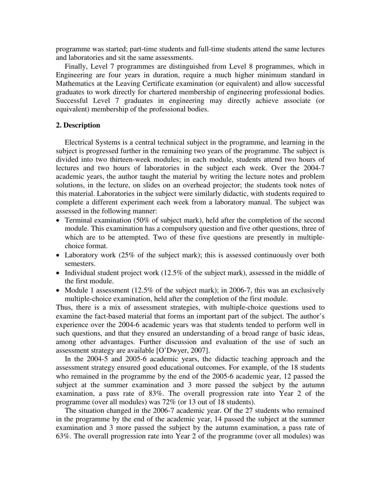programme was started; part-time students and full-time students attend the same lectures and laboratories and sit the same assessments.

Finally, Level 7 programmes are distinguished from Level 8 programmes, which in Engineering are four years in duration, require a much higher minimum standard in Mathematics at the Leaving Certificate examination (or equivalent) and allow successful graduates to work directly for chartered membership of engineering professional bodies. Successful Level 7 graduates in engineering may directly achieve associate (or equivalent) membership of the professional bodies.

#### **2. Description**

Electrical Systems is a central technical subject in the programme, and learning in the subject is progressed further in the remaining two years of the programme. The subject is divided into two thirteen-week modules; in each module, students attend two hours of lectures and two hours of laboratories in the subject each week. Over the 2004-7 academic years, the author taught the material by writing the lecture notes and problem solutions, in the lecture, on slides on an overhead projector; the students took notes of this material. Laboratories in the subject were similarly didactic, with students required to complete a different experiment each week from a laboratory manual. The subject was assessed in the following manner:

- Terminal examination (50% of subject mark), held after the completion of the second module. This examination has a compulsory question and five other questions, three of which are to be attempted. Two of these five questions are presently in multiplechoice format.
- Laboratory work (25% of the subject mark); this is assessed continuously over both semesters.
- Individual student project work (12.5% of the subject mark), assessed in the middle of the first module.
- Module 1 assessment (12.5% of the subject mark); in 2006-7, this was an exclusively multiple-choice examination, held after the completion of the first module.

Thus, there is a mix of assessment strategies, with multiple-choice questions used to examine the fact-based material that forms an important part of the subject. The author's experience over the 2004-6 academic years was that students tended to perform well in such questions, and that they ensured an understanding of a broad range of basic ideas, among other advantages. Further discussion and evaluation of the use of such an assessment strategy are available [O'Dwyer, 2007].

In the 2004-5 and 2005-6 academic years, the didactic teaching approach and the assessment strategy ensured good educational outcomes. For example, of the 18 students who remained in the programme by the end of the 2005-6 academic year, 12 passed the subject at the summer examination and 3 more passed the subject by the autumn examination, a pass rate of 83%. The overall progression rate into Year 2 of the programme (over all modules) was 72% (or 13 out of 18 students).

The situation changed in the 2006-7 academic year. Of the 27 students who remained in the programme by the end of the academic year, 14 passed the subject at the summer examination and 3 more passed the subject by the autumn examination, a pass rate of 63%. The overall progression rate into Year 2 of the programme (over all modules) was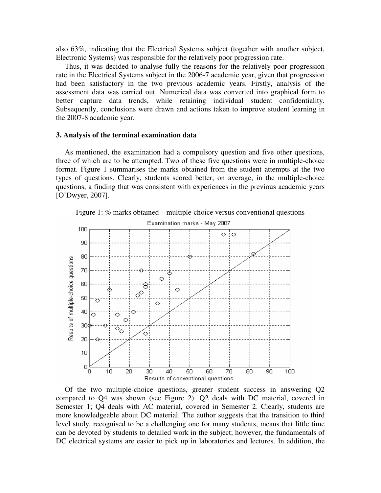also 63%, indicating that the Electrical Systems subject (together with another subject, Electronic Systems) was responsible for the relatively poor progression rate.

Thus, it was decided to analyse fully the reasons for the relatively poor progression rate in the Electrical Systems subject in the 2006-7 academic year, given that progression had been satisfactory in the two previous academic years. Firstly, analysis of the assessment data was carried out. Numerical data was converted into graphical form to better capture data trends, while retaining individual student confidentiality. Subsequently, conclusions were drawn and actions taken to improve student learning in the 2007-8 academic year.

#### **3. Analysis of the terminal examination data**

As mentioned, the examination had a compulsory question and five other questions, three of which are to be attempted. Two of these five questions were in multiple-choice format. Figure 1 summarises the marks obtained from the student attempts at the two types of questions. Clearly, students scored better, on average, in the multiple-choice questions, a finding that was consistent with experiences in the previous academic years [O'Dwyer, 2007].





Of the two multiple-choice questions, greater student success in answering Q2 compared to Q4 was shown (see Figure 2). Q2 deals with DC material, covered in Semester 1; Q4 deals with AC material, covered in Semester 2. Clearly, students are more knowledgeable about DC material. The author suggests that the transition to third level study, recognised to be a challenging one for many students, means that little time can be devoted by students to detailed work in the subject; however, the fundamentals of DC electrical systems are easier to pick up in laboratories and lectures. In addition, the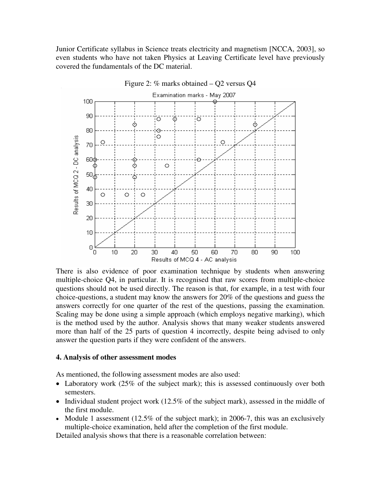Junior Certificate syllabus in Science treats electricity and magnetism [NCCA, 2003], so even students who have not taken Physics at Leaving Certificate level have previously covered the fundamentals of the DC material.



Figure 2: % marks obtained – Q2 versus Q4

There is also evidence of poor examination technique by students when answering multiple-choice Q4, in particular. It is recognised that raw scores from multiple-choice questions should not be used directly. The reason is that, for example, in a test with four choice-questions, a student may know the answers for 20% of the questions and guess the answers correctly for one quarter of the rest of the questions, passing the examination. Scaling may be done using a simple approach (which employs negative marking), which is the method used by the author. Analysis shows that many weaker students answered more than half of the 25 parts of question 4 incorrectly, despite being advised to only answer the question parts if they were confident of the answers.

#### **4. Analysis of other assessment modes**

As mentioned, the following assessment modes are also used:

- Laboratory work (25% of the subject mark); this is assessed continuously over both semesters.
- Individual student project work (12.5% of the subject mark), assessed in the middle of the first module.
- Module 1 assessment  $(12.5\% \text{ of the subject mark})$ ; in 2006-7, this was an exclusively multiple-choice examination, held after the completion of the first module.

Detailed analysis shows that there is a reasonable correlation between: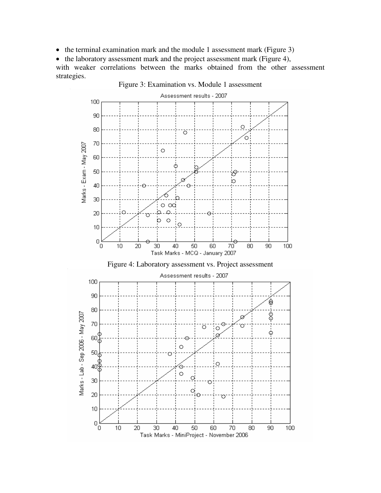• the terminal examination mark and the module 1 assessment mark (Figure 3)

• the laboratory assessment mark and the project assessment mark (Figure 4), with weaker correlations between the marks obtained from the other assessment strategies.



Task Marks - MiniProject - November 2006

Figure 3: Examination vs. Module 1 assessment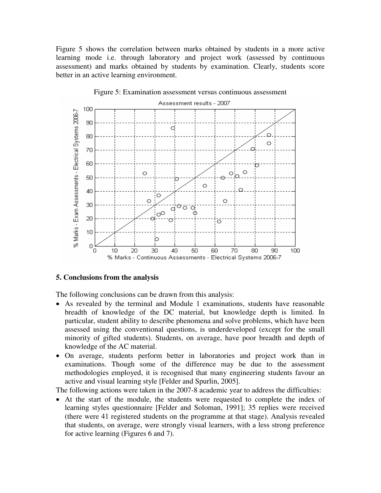Figure 5 shows the correlation between marks obtained by students in a more active learning mode i.e. through laboratory and project work (assessed by continuous assessment) and marks obtained by students by examination. Clearly, students score better in an active learning environment.



#### Figure 5: Examination assessment versus continuous assessment

#### **5. Conclusions from the analysis**

The following conclusions can be drawn from this analysis:

- As revealed by the terminal and Module 1 examinations, students have reasonable breadth of knowledge of the DC material, but knowledge depth is limited. In particular, student ability to describe phenomena and solve problems, which have been assessed using the conventional questions, is underdeveloped (except for the small minority of gifted students). Students, on average, have poor breadth and depth of knowledge of the AC material.
- On average, students perform better in laboratories and project work than in examinations. Though some of the difference may be due to the assessment methodologies employed, it is recognised that many engineering students favour an active and visual learning style [Felder and Spurlin, 2005].

The following actions were taken in the 2007-8 academic year to address the difficulties:

• At the start of the module, the students were requested to complete the index of learning styles questionnaire [Felder and Soloman, 1991]; 35 replies were received (there were 41 registered students on the programme at that stage). Analysis revealed that students, on average, were strongly visual learners, with a less strong preference for active learning (Figures 6 and 7).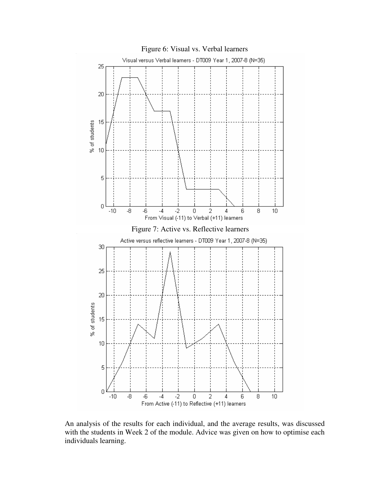

An analysis of the results for each individual, and the average results, was discussed with the students in Week 2 of the module. Advice was given on how to optimise each individuals learning.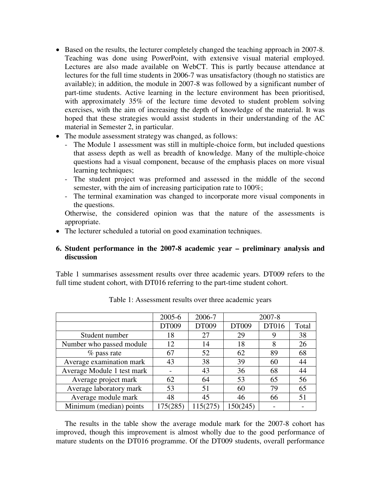- Based on the results, the lecturer completely changed the teaching approach in 2007-8. Teaching was done using PowerPoint, with extensive visual material employed. Lectures are also made available on WebCT. This is partly because attendance at lectures for the full time students in 2006-7 was unsatisfactory (though no statistics are available); in addition, the module in 2007-8 was followed by a significant number of part-time students. Active learning in the lecture environment has been prioritised, with approximately 35% of the lecture time devoted to student problem solving exercises, with the aim of increasing the depth of knowledge of the material. It was hoped that these strategies would assist students in their understanding of the AC material in Semester 2, in particular.
- The module assessment strategy was changed, as follows:
	- The Module 1 assessment was still in multiple-choice form, but included questions that assess depth as well as breadth of knowledge. Many of the multiple-choice questions had a visual component, because of the emphasis places on more visual learning techniques;
	- The student project was preformed and assessed in the middle of the second semester, with the aim of increasing participation rate to 100%;
	- The terminal examination was changed to incorporate more visual components in the questions.

Otherwise, the considered opinion was that the nature of the assessments is appropriate.

• The lecturer scheduled a tutorial on good examination techniques.

## **6. Student performance in the 2007-8 academic year – preliminary analysis and discussion**

Table 1 summarises assessment results over three academic years. DT009 refers to the full time student cohort, with DT016 referring to the part-time student cohort.

|                            | 2005-6   | 2006-7   | 2007-8   |       |       |
|----------------------------|----------|----------|----------|-------|-------|
|                            | DT009    | DT009    | DT009    | DT016 | Total |
| Student number             | 18       | 27       | 29       |       | 38    |
| Number who passed module   | 12       | 14       | 18       | 8     | 26    |
| $%$ pass rate              | 67       | 52       | 62       | 89    | 68    |
| Average examination mark   | 43       | 38       | 39       | 60    | 44    |
| Average Module 1 test mark |          | 43       | 36       | 68    | 44    |
| Average project mark       | 62       | 64       | 53       | 65    | 56    |
| Average laboratory mark    | 53       | 51       | 60       | 79    | 65    |
| Average module mark        | 48       | 45       | 46       | 66    | 51    |
| Minimum (median) points    | 175(285) | 115(275) | 150(245) |       |       |

Table 1: Assessment results over three academic years

The results in the table show the average module mark for the 2007-8 cohort has improved, though this improvement is almost wholly due to the good performance of mature students on the DT016 programme. Of the DT009 students, overall performance